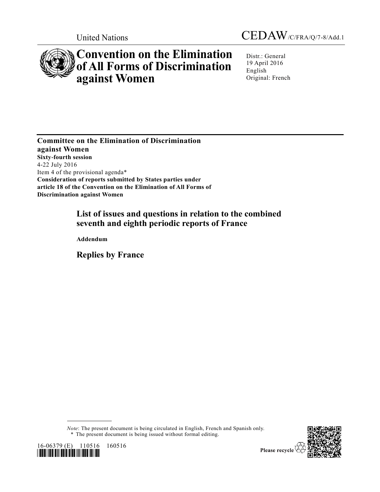



# **Convention on the Elimination of All Forms of Discrimination against Women**

Distr.: General 19 April 2016 English Original: French

**Committee on the Elimination of Discrimination against Women Sixty-fourth session** 4-22 July 2016 Item 4 of the provisional agenda\* **Consideration of reports submitted by States parties under article 18 of the Convention on the Elimination of All Forms of Discrimination against Women**

## **List of issues and questions in relation to the combined seventh and eighth periodic reports of France**

**Addendum**

**Replies by France**

*Note*: The present document is being circulated in English, French and Spanish only. \* The present document is being issued without formal editing.





Please recycle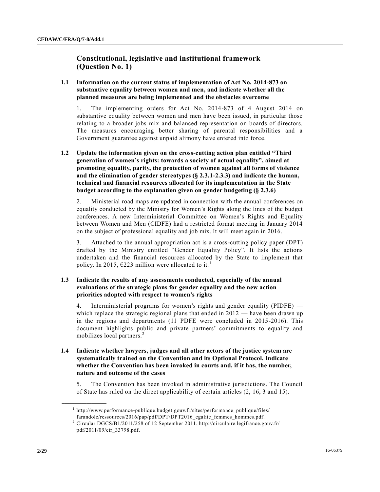## **Constitutional, legislative and institutional framework (Question No. 1)**

**1.1 Information on the current status of implementation of Act No. 2014-873 on substantive equality between women and men, and indicate whether all the planned measures are being implemented and the obstacles overcome**

1. The implementing orders for Act No. 2014-873 of 4 August 2014 on substantive equality between women and men have been issued, in particular those relating to a broader jobs mix and balanced representation on boards of directors. The measures encouraging better sharing of parental responsibilities and a Government guarantee against unpaid alimony have entered into force.

**1.2 Update the information given on the cross-cutting action plan entitled "Third generation of women's rights: towards a society of actual equality", aimed at promoting equality, parity, the protection of women against all forms of violence and the elimination of gender stereotypes (§ 2.3.1-2.3.3) and indicate the human, technical and financial resources allocated for its implementation in the State budget according to the explanation given on gender budgeting (§ 2.3.6)**

2. Ministerial road maps are updated in connection with the annual conferences on equality conducted by the Ministry for Women's Rights along the lines of the budget conferences. A new Interministerial Committee on Women's Rights and Equality between Women and Men (CIDFE) had a restricted format meeting in January 2014 on the subject of professional equality and job mix. It will meet again in 2016.

3. Attached to the annual appropriation act is a cross-cutting policy paper (DPT) drafted by the Ministry entitled "Gender Equality Policy". It lists the actions undertaken and the financial resources allocated by the State to implement that policy. In 2015,  $\epsilon$ 223 million were allocated to it.<sup>1</sup>

#### **1.3 Indicate the results of any assessments conducted, especially of the annual evaluations of the strategic plans for gender equality and the new action priorities adopted with respect to women's rights**

4. Interministerial programs for women's rights and gender equality (PIDFE) which replace the strategic regional plans that ended in  $2012$  — have been drawn up in the regions and departments (11 PDFE were concluded in 2015-2016). This document highlights public and private partners' commitments to equality and mobilizes local partners.<sup>2</sup>

**1.4 Indicate whether lawyers, judges and all other actors of the justice system are systematically trained on the Convention and its Optional Protocol. Indicate whether the Convention has been invoked in courts and, if it has, the number, nature and outcome of the cases**

5. The Convention has been invoked in administrative jurisdictions. The Council of State has ruled on the direct applicability of certain articles (2, 16, 3 and 15).

 $1$  http://www.performance-publique.budget.gouv.fr/sites/performance\_publique/files/ farandole/ressources/2016/pap/pdf/DPT/DPT2016\_egalite\_femmes\_hommes.pdf.

<sup>2</sup> Circular DGCS/B1/2011/258 of 12 September 2011. http://circulaire.legifrance.gouv.fr/ pdf/2011/09/cir\_33798.pdf.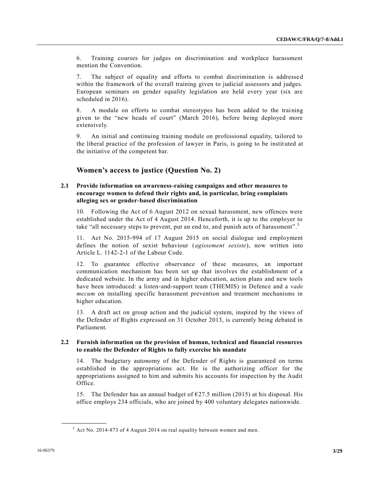6. Training courses for judges on discrimination and workplace harassment mention the Convention.

7. The subject of equality and efforts to combat discrimination is addresse d within the framework of the overall training given to judicial assessors and judges. European seminars on gender equality legislation are held every year (six are scheduled in 2016).

8. A module on efforts to combat stereotypes has been added to the training given to the "new heads of court" (March 2016), before being deployed more extensively.

9. An initial and continuing training module on professional equality, tailored to the liberal practice of the profession of lawyer in Paris, is going to be instit uted at the initiative of the competent bar.

## **Women's access to justice (Question No. 2)**

#### **2.1 Provide information on awareness-raising campaigns and other measures to encourage women to defend their rights and, in particular, bring complaints alleging sex or gender-based discrimination**

10. Following the Act of 6 August 2012 on sexual harassment, new offences were established under the Act of 4 August 2014. Henceforth, it is up to the employer to take "all necessary steps to prevent, put an end to, and punish acts of harassment".<sup>3</sup>

11. Act No. 2015-994 of 17 August 2015 on social dialogue and employment defines the notion of sexist behaviour (*agissement sexiste*), now written into Article L. 1142-2-1 of the Labour Code.

12. To guarantee effective observance of these measures, an important communication mechanism has been set up that involves the establishment of a dedicated website. In the army and in higher education, action plans and new tools have been introduced: a listen-and-support team (THEMIS) in Defence and a *vade mecum* on installing specific harassment prevention and treatment mechanisms in higher education.

13. A draft act on group action and the judicial system, inspired by the views of the Defender of Rights expressed on 31 October 2013, is currently being debated in Parliament.

#### **2.2 Furnish information on the provision of human, technical and financial resources to enable the Defender of Rights to fully exercise his mandate**

14. The budgetary autonomy of the Defender of Rights is guaranteed on terms established in the appropriations act. He is the authorizing officer for the appropriations assigned to him and submits his accounts for inspection by the Audit Office.

15. The Defender has an annual budget of  $\epsilon$ 27.5 million (2015) at his disposal. His office employs 234 officials, who are joined by 400 voluntary delegates nationwide.

 $3$  Act No. 2014-873 of 4 August 2014 on real equality between women and men.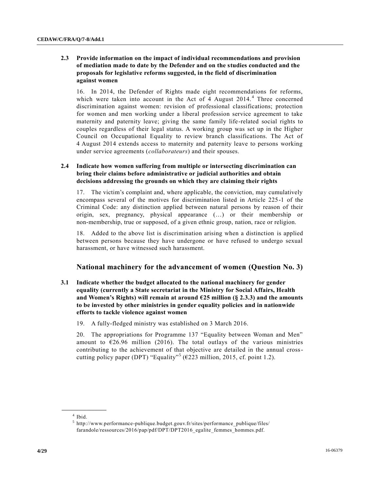#### **2.3 Provide information on the impact of individual recommendations and provision of mediation made to date by the Defender and on the studies conducted and the proposals for legislative reforms suggested, in the field of discrimination against women**

16. In 2014, the Defender of Rights made eight recommendations for reforms, which were taken into account in the Act of 4 August 2014.<sup>4</sup> Three concerned discrimination against women: revision of professional classifications; protection for women and men working under a liberal profession service agreement to take maternity and paternity leave; giving the same family life-related social rights to couples regardless of their legal status. A working group was set up in the Higher Council on Occupational Equality to review branch classifications. The Act of 4 August 2014 extends access to maternity and paternity leave to persons working under service agreements (*collaborateurs*) and their spouses.

#### **2.4 Indicate how women suffering from multiple or intersecting discrimination can bring their claims before administrative or judicial authorities and obtain decisions addressing the grounds on which they are claiming their rights**

17. The victim's complaint and, where applicable, the conviction, may cumulatively encompass several of the motives for discrimination listed in Article 225-1 of the Criminal Code: any distinction applied between natural persons by reason of their origin, sex, pregnancy, physical appearance (…) or their membership or non-membership, true or supposed, of a given ethnic group, nation, race or religion.

18. Added to the above list is discrimination arising when a distinction is applied between persons because they have undergone or have refused to undergo sexual harassment, or have witnessed such harassment.

## **National machinery for the advancement of women (Question No. 3)**

- **3.1 Indicate whether the budget allocated to the national machinery for gender equality (currently a State secretariat in the Ministry for Social Affairs, Health**  and Women's Rights) will remain at around  $625$  million (§ 2.3.3) and the amounts **to be invested by other ministries in gender equality policies and in nationwide efforts to tackle violence against women**
	- 19. A fully-fledged ministry was established on 3 March 2016.

20. The appropriations for Programme 137 "Equality between Woman and Men" amount to  $\epsilon$ 26.96 million (2016). The total outlays of the various ministries contributing to the achievement of that objective are detailed in the annual crosscutting policy paper (DPT) "Equality"<sup>5</sup> ( $\epsilon$ 223 million, 2015, cf. point 1.2).

**\_\_\_\_\_\_\_\_\_\_\_\_\_\_\_\_\_\_** 4 Ibid.

 $5$  http://www.performance-publique.budget.gouv.fr/sites/performance publique/files/ farandole/ressources/2016/pap/pdf/DPT/DPT2016\_egalite\_femmes\_hommes.pdf.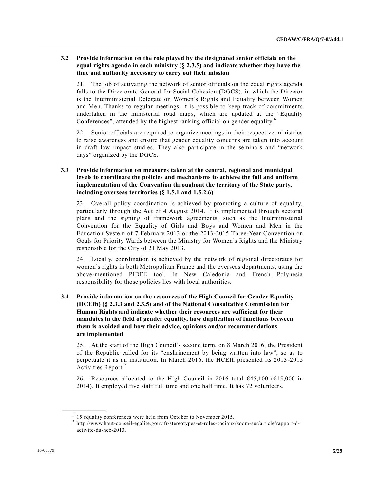#### **3.2 Provide information on the role played by the designated senior officials on the equal rights agenda in each ministry (§ 2.3.5) and indicate whether they have the time and authority necessary to carry out their mission**

21. The job of activating the network of senior officials on the equal rights agenda falls to the Directorate-General for Social Cohesion (DGCS), in which the Director is the Interministerial Delegate on Women's Rights and Equality between Women and Men. Thanks to regular meetings, it is possible to keep track of commitments undertaken in the ministerial road maps, which are updated at the "Equality Conferences", attended by the highest ranking official on gender equality.<sup>6</sup>

22. Senior officials are required to organize meetings in their respective ministries to raise awareness and ensure that gender equality concerns are taken into account in draft law impact studies. They also participate in the seminars and "network days" organized by the DGCS.

#### **3.3 Provide information on measures taken at the central, regional and municipal levels to coordinate the policies and mechanisms to achieve the full and uniform implementation of the Convention throughout the territory of the State party, including overseas territories (§ 1.5.1 and 1.5.2.6)**

23. Overall policy coordination is achieved by promoting a culture of equality, particularly through the Act of 4 August 2014. It is implemented through sectoral plans and the signing of framework agreements, such as the Interministerial Convention for the Equality of Girls and Boys and Women and Men in the Education System of 7 February 2013 or the 2013-2015 Three-Year Convention on Goals for Priority Wards between the Ministry for Women's Rights and the Ministry responsible for the City of 21 May 2013.

24. Locally, coordination is achieved by the network of regional directorates for women's rights in both Metropolitan France and the overseas departments, using the above-mentioned PIDFE tool. In New Caledonia and French Polynesia responsibility for those policies lies with local authorities.

#### **3.4 Provide information on the resources of the High Council for Gender Equality (HCEfh) (§ 2.3.3 and 2.3.5) and of the National Consultative Commission for Human Rights and indicate whether their resources are sufficient for their mandates in the field of gender equality, how duplication of functions between them is avoided and how their advice, opinions and/or recommendations are implemented**

25. At the start of the High Council's second term, on 8 March 2016, the President of the Republic called for its "enshrinement by being written into law", so as to perpetuate it as an institution. In March 2016, the HCEfh presented its 2013 -2015 Activities Report.<sup>7</sup>

26. Resources allocated to the High Council in 2016 total  $\epsilon$ 45,100 ( $\epsilon$ 15,000 in 2014). It employed five staff full time and one half time. It has 72 volunteers.

<sup>&</sup>lt;sup>6</sup> 15 equality conferences were held from October to November 2015.

<sup>7</sup> http://www.haut-conseil-egalite.gouv.fr/stereotypes-et-roles-sociaux/zoom-sur/article/rapport-dactivite-du-hce-2013.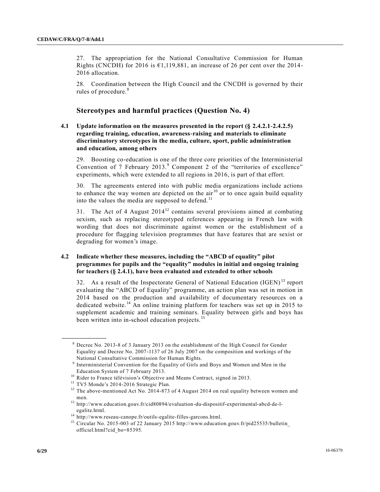27. The appropriation for the National Consultative Commission for Human Rights (CNCDH) for 2016 is  $\epsilon$ 1,119,881, an increase of 26 per cent over the 2014-2016 allocation.

28. Coordination between the High Council and the CNCDH is governed by their rules of procedure.<sup>8</sup>

## **Stereotypes and harmful practices (Question No. 4)**

#### **4.1 Update information on the measures presented in the report (§ 2.4.2.1-2.4.2.5) regarding training, education, awareness-raising and materials to eliminate discriminatory stereotypes in the media, culture, sport, public administration and education, among others**

29. Boosting co-education is one of the three core priorities of the Interministerial Convention of 7 February 2013.<sup>9</sup> Component 2 of the "territories of excellence" experiments, which were extended to all regions in 2016, is part of that effort.

30. The agreements entered into with public media organizations include actions to enhance the way women are depicted on the  $air<sup>10</sup>$  or to once again build equality into the values the media are supposed to defend.<sup>11</sup>

31. The Act of 4 August  $2014^{12}$  contains several provisions aimed at combating sexism, such as replacing stereotyped references appearing in French law with wording that does not discriminate against women or the establishment of a procedure for flagging television programmes that have features that are sexist or degrading for women's image.

#### **4.2 Indicate whether these measures, including the "ABCD of equality" pilot programmes for pupils and the "equality" modules in initial and ongoing training for teachers (§ 2.4.1), have been evaluated and extended to other schools**

32. As a result of the Inspectorate General of National Education (IGEN) <sup>13</sup> report evaluating the "ABCD of Equality" programme, an action plan was set in motion in 2014 based on the production and availability of documentary resources on a dedicated website.<sup>14</sup> An online training platform for teachers was set up in 2015 to supplement academic and training seminars. Equality between girls and boys has been written into in-school education projects.<sup>15</sup>

<sup>8</sup> Decree No. 2013-8 of 3 January 2013 on the establishment of the High Council for Gender Equality and Decree No. 2007-1137 of 26 July 2007 on the composition and workings of the National Consultative Commission for Human Rights.

<sup>&</sup>lt;sup>9</sup> Interministerial Convention for the Equality of Girls and Boys and Women and Men in the Education System of 7 February 2013.

<sup>&</sup>lt;sup>10</sup> Rider to France télévision's Objective and Means Contract, signed in 2013.

<sup>&</sup>lt;sup>11</sup> TV5 Monde's 2014-2016 Strategic Plan.

<sup>&</sup>lt;sup>12</sup> The above-mentioned Act No. 2014-873 of 4 August 2014 on real equality between women and men.

<sup>13</sup> http://www.education.gouv.fr/cid80894/evaluation-du-dispositif-experimental-abcd-de-legalite.html.

<sup>14</sup> http://www.reseau-canope.fr/outils-egalite-filles-garcons.html.

<sup>&</sup>lt;sup>15</sup> Circular No. 2015-003 of 22 January 2015 http://www.education.gouv.fr/pid25535/bulletin\_ officiel.html?cid\_bo=85395.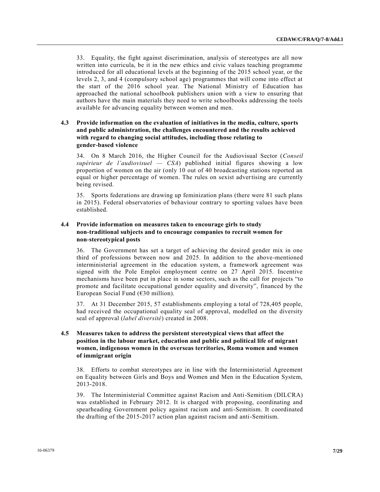33. Equality, the fight against discrimination, analysis of stereotypes are all now written into curricula, be it in the new ethics and civic values teaching programme introduced for all educational levels at the beginning of the 2015 school year, or the levels 2, 3, and 4 (compulsory school age) programmes that will come into effect at the start of the 2016 school year. The National Ministry of Education has approached the national schoolbook publishers union with a view to ensuring that authors have the main materials they need to write schoolbooks addressing the tools available for advancing equality between women and men.

#### **4.3 Provide information on the evaluation of initiatives in the media, culture, sports and public administration, the challenges encountered and the results achieved with regard to changing social attitudes, including those relating to gender-based violence**

34. On 8 March 2016, the Higher Council for the Audiovisual Sector (*Conseil supérieur de l'audiovisuel — CSA*) published initial figures showing a low proportion of women on the air (only 10 out of 40 broadcasting stations reported an equal or higher percentage of women. The rules on sexist advertising are currently being revised.

35. Sports federations are drawing up feminization plans (there were 81 such plans in 2015). Federal observatories of behaviour contrary to sporting values have been established.

#### **4.4 Provide information on measures taken to encourage girls to study non-traditional subjects and to encourage companies to recruit women for non-stereotypical posts**

36. The Government has set a target of achieving the desired gender mix in one third of professions between now and 2025. In addition to the above-mentioned interministerial agreement in the education system, a framework agreement was signed with the Pole Emploi employment centre on 27 April 2015. Incentive mechanisms have been put in place in some sectors, such as the call for projects "to promote and facilitate occupational gender equality and diversity", financed by the European Social Fund  $(630 \text{ million})$ .

37. At 31 December 2015, 57 establishments employing a total of 728,405 people, had received the occupational equality seal of approval, modelled on the diversity seal of approval (*label diversité*) created in 2008.

#### **4.5 Measures taken to address the persistent stereotypical views that affect the position in the labour market, education and public and political life of migrant women, indigenous women in the overseas territories, Roma women and women of immigrant origin**

38. Efforts to combat stereotypes are in line with the Interministerial Agreement on Equality between Girls and Boys and Women and Men in the Education System, 2013-2018.

39. The Interministerial Committee against Racism and Anti-Semitism (DILCRA) was established in February 2012. It is charged with proposing, coordinating and spearheading Government policy against racism and anti-Semitism. It coordinated the drafting of the 2015-2017 action plan against racism and anti-Semitism.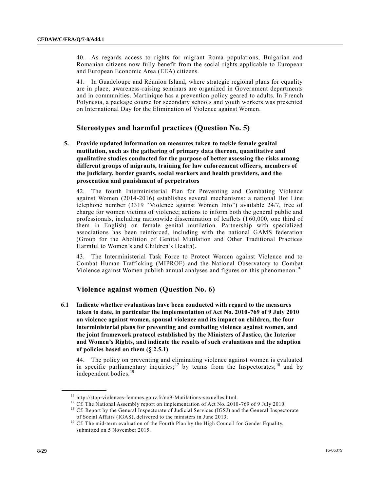40. As regards access to rights for migrant Roma populations, Bulgarian and Romanian citizens now fully benefit from the social rights applicable to European and European Economic Area (EEA) citizens.

41. In Guadeloupe and Réunion Island, where strategic regional plans for equality are in place, awareness-raising seminars are organized in Government departments and in communities. Martinique has a prevention policy geared to adults. In French Polynesia, a package course for secondary schools and youth workers was presented on International Day for the Elimination of Violence against Women.

## **Stereotypes and harmful practices (Question No. 5)**

**5. Provide updated information on measures taken to tackle female genital mutilation, such as the gathering of primary data thereon, quantitative and qualitative studies conducted for the purpose of better assessing the risks among different groups of migrants, training for law enforcement officers, members of the judiciary, border guards, social workers and health providers, and the prosecution and punishment of perpetrators**

42. The fourth Interministerial Plan for Preventing and Combating Violence against Women (2014-2016) establishes several mechanisms: a national Hot Line telephone number (3319 "Violence against Women Info") available 24/7, free of charge for women victims of violence; actions to inform both the general public and professionals, including nationwide dissemination of leaflets (160,000, one third of them in English) on female genital mutilation. Partnership with specialized associations has been reinforced, including with the national GAMS federation (Group for the Abolition of Genital Mutilation and Other Traditional Practices Harmful to Women's and Children's Health).

43. The Interministerial Task Force to Protect Women against Violence and to Combat Human Trafficking (MIPROF) and the National Observatory to Combat Violence against Women publish annual analyses and figures on this phenomenon.<sup>16</sup>

## **Violence against women (Question No. 6)**

**6.1 Indicate whether evaluations have been conducted with regard to the measures taken to date, in particular the implementation of Act No. 2010-769 of 9 July 2010 on violence against women, spousal violence and its impact on children, the four interministerial plans for preventing and combating violence against women, and the joint framework protocol established by the Ministers of Justice, the Interior and Women's Rights, and indicate the results of such evaluations and the adoption of policies based on them (§ 2.5.1)**

44. The policy on preventing and eliminating violence against women is evaluated in specific parliamentary inquiries;<sup>17</sup> by teams from the Inspectorates;<sup>18</sup> and by independent bodies.<sup>19</sup>

<sup>16</sup> http://stop-violences-femmes.gouv.fr/no9-Mutilations-sexuelles.html.

<sup>&</sup>lt;sup>17</sup> Cf. The National Assembly report on implementation of Act No. 2010-769 of 9 July 2010.

<sup>&</sup>lt;sup>18</sup> Cf. Report by the General Inspectorate of Judicial Services (IGSJ) and the General Inspectorate of Social Affairs (IGAS), delivered to the ministers in June 2013.

<sup>&</sup>lt;sup>19</sup> Cf. The mid-term evaluation of the Fourth Plan by the High Council for Gender Equality, submitted on 5 November 2015.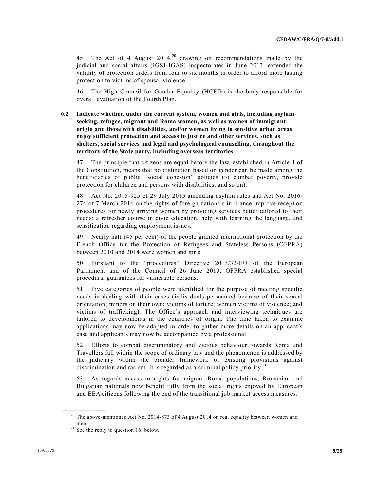45. The Act of 4 August  $2014$ ,<sup>20</sup> drawing on recommendations made by the judicial and social affairs (IGSJ-IGAS) inspectorates in June 2013, extended the validity of protection orders from four to six months in order to afford more lasting protection to victims of spousal violence.

46. The High Council for Gender Equality (HCEfh) is the body responsible for overall evaluation of the Fourth Plan.

**6.2 Indicate whether, under the current system, women and girls, including asylumseeking, refugee, migrant and Roma women, as well as women of immigrant origin and those with disabilities, and/or women living in sensitive urban areas enjoy sufficient protection and access to justice and other services, such as shelters, social services and legal and psychological counselling, throughout the territory of the State party, including overseas territories**

47. The principle that citizens are equal before the law, established in Article 1 of the Constitution, means that no distinction based on gender can be made among the beneficiaries of public "social cohesion" policies (to combat poverty, provide protection for children and persons with disabilities, and so on).

48. Act No. 2015-925 of 29 July 2015 amending asylum rules and Act No. 2016- 274 of 7 March 2016 on the rights of foreign nationals in France improve reception procedures for newly arriving women by providing services better tailored to their needs: a refresher course in civic education, help with learning the language, and sensitization regarding employment issues.

49. Nearly half (45 per cent) of the people granted international protection by the French Office for the Protection of Refugees and Stateless Persons (OFPRA) between 2010 and 2014 were women and girls.

50. Pursuant to the "procedures" Directive 2013/32/EU of the European Parliament and of the Council of 26 June 2013, OFPRA established special procedural guarantees for vulnerable persons.

51. Five categories of people were identified for the purpose of meeting specific needs in dealing with their cases (individuals persecuted because of their sexual orientation; minors on their own; victims of torture; women victims of violence; and victims of trafficking). The Office's approach and interviewing techniques are tailored to developments in the countries of origin. The time taken to examine applications may now be adapted in order to gather more details on an applicant's case and applicants may now be accompanied by a professional.

52. Efforts to combat discriminatory and vicious behaviour towards Roma and Travellers fall within the scope of ordinary law and the phenomenon is addressed by the judiciary within the broader framework of existing provisions against discrimination and racism. It is regarded as a criminal policy priority.<sup>21</sup>

53. As regards access to rights for migrant Roma populations, Romanian and Bulgarian nationals now benefit fully from the social rights enjoyed by European and EEA citizens following the end of the transitional job market access measures.

 $20$  The above-mentioned Act No. 2014-873 of 4 August 2014 on real equality between women and men.

 $21$  See the reply to question 16, below.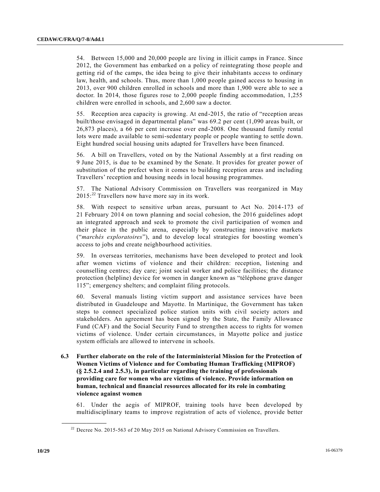54. Between 15,000 and 20,000 people are living in illicit camps in France. Since 2012, the Government has embarked on a policy of reintegrating those people and getting rid of the camps, the idea being to give their inhabitants access to ordinary law, health, and schools. Thus, more than 1,000 people gained access to housing in 2013, over 900 children enrolled in schools and more than 1,900 were able to see a doctor. In 2014, those figures rose to 2,000 people finding accommodation, 1,255 children were enrolled in schools, and 2,600 saw a doctor.

55. Reception area capacity is growing. At end-2015, the ratio of "reception areas built/those envisaged in departmental plans" was 69.2 per cent (1,090 areas built, or 26,873 places), a 66 per cent increase over end-2008. One thousand family rental lots were made available to semi-sedentary people or people wanting to settle down. Eight hundred social housing units adapted for Travellers have been financed.

56. A bill on Travellers, voted on by the National Assembly at a first reading on 9 June 2015, is due to be examined by the Senate. It provides for greater power of substitution of the prefect when it comes to building reception areas and including Travellers' reception and housing needs in local housing programmes.

57. The National Advisory Commission on Travellers was reorganized in May  $2015$ :<sup>22</sup> Travellers now have more say in its work.

58. With respect to sensitive urban areas, pursuant to Act No. 2014-173 of 21 February 2014 on town planning and social cohesion, the 2016 guidelines adopt an integrated approach and seek to promote the civil participation of women and their place in the public arena, especially by constructing innovative markets ("*marchés exploratoires*"), and to develop local strategies for boosting women's access to jobs and create neighbourhood activities.

59. In overseas territories, mechanisms have been developed to protect and look after women victims of violence and their children: reception, listening and counselling centres; day care; joint social worker and police facilities; the distance protection (helpline) device for women in danger known as "téléphone grave danger 115"; emergency shelters; and complaint filing protocols.

60. Several manuals listing victim support and assistance services have been distributed in Guadeloupe and Mayotte. In Martinique, the Government has taken steps to connect specialized police station units with civil society actors and stakeholders. An agreement has been signed by the State, the Family Allowance Fund (CAF) and the Social Security Fund to strengthen access to rights for women victims of violence. Under certain circumstances, in Mayotte police and justice system officials are allowed to intervene in schools.

**6.3 Further elaborate on the role of the Interministerial Mission for the Protection of Women Victims of Violence and for Combating Human Trafficking (MIPROF) (§ 2.5.2.4 and 2.5.3), in particular regarding the training of professionals providing care for women who are victims of violence. Provide information on human, technical and financial resources allocated for its role in combating violence against women**

61. Under the aegis of MIPROF, training tools have been developed by multidisciplinary teams to improve registration of acts of violence, provide better

 $22$  Decree No. 2015-563 of 20 May 2015 on National Advisory Commission on Travellers.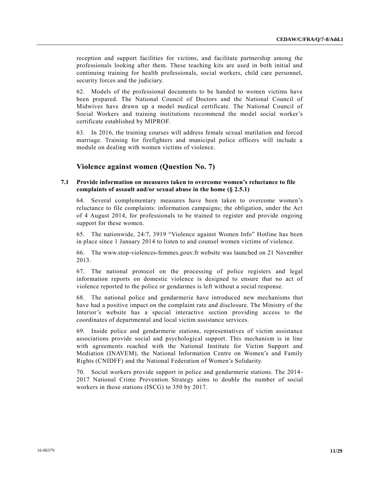reception and support facilities for victims, and facilitate partnership among the professionals looking after them. These teaching kits are used in both initial and continuing training for health professionals, social workers, child care personnel, security forces and the judiciary.

62. Models of the professional documents to be handed to women victims have been prepared. The National Council of Doctors and the National Council of Midwives have drawn up a model medical certificate. The National Council of Social Workers and training institutions recommend the model social worker's certificate established by MIPROF.

63. In 2016, the training courses will address female sexual mutilation and forced marriage. Training for firefighters and municipal police officers will include a module on dealing with women victims of violence.

## **Violence against women (Question No. 7)**

#### **7.1 Provide information on measures taken to overcome women's reluctance to file complaints of assault and/or sexual abuse in the home (§ 2.5.1)**

64. Several complementary measures have been taken to overcome women's reluctance to file complaints: information campaigns; the obligation, under the Act of 4 August 2014, for professionals to be trained to register and provide ongoing support for these women.

65. The nationwide, 24/7, 3919 "Violence against Women Info" Hotline has been in place since 1 January 2014 to listen to and counsel women victims of violence.

66. The www.stop-violences-femmes.gouv.fr website was launched on 21 November 2013.

67. The national protocol on the processing of police registers and legal information reports on domestic violence is designed to ensure that no act of violence reported to the police or gendarmes is left without a social response.

68. The national police and gendarmerie have introduced new mechanisms that have had a positive impact on the complaint rate and disclosure. The Ministry of the Interior's website has a special interactive section providing access to the coordinates of departmental and local victim assistance services.

69. Inside police and gendarmerie stations, representatives of victim assistance associations provide social and psychological support. This mechanism is in line with agreements reached with the National Institute for Victim Support and Mediation (INAVEM), the National Information Centre on Women's and Family Rights (CNIDFF) and the National Federation of Women's Solidarity.

70. Social workers provide support in police and gendarmerie stations. The 2014 - 2017 National Crime Prevention Strategy aims to double the number of social workers in those stations (ISCG) to 350 by 2017.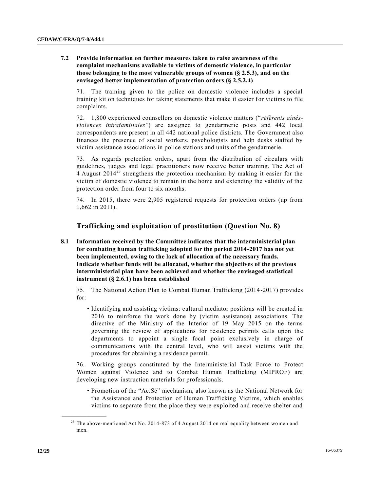#### **7.2 Provide information on further measures taken to raise awareness of the complaint mechanisms available to victims of domestic violence, in particular those belonging to the most vulnerable groups of women (§ 2.5.3), and on the envisaged better implementation of protection orders (§ 2.5.2.4)**

71. The training given to the police on domestic violence includes a special training kit on techniques for taking statements that make it easier for victims to file complaints.

72. 1,800 experienced counsellors on domestic violence matters ("*référents aînésviolences intrafamiliales*") are assigned to gendarmerie posts and 442 local correspondents are present in all 442 national police districts. The Government also finances the presence of social workers, psychologists and help desks staffed by victim assistance associations in police stations and units of the gendarmerie.

73. As regards protection orders, apart from the distribution of circulars with guidelines, judges and legal practitioners now receive better training. The Act of 4 August  $2014^{23}$  strengthens the protection mechanism by making it easier for the victim of domestic violence to remain in the home and extending the validity of the protection order from four to six months.

74. In 2015, there were 2,905 registered requests for protection orders (up from 1,662 in 2011).

## **Trafficking and exploitation of prostitution (Question No. 8)**

**8.1 Information received by the Committee indicates that the interministerial plan for combating human trafficking adopted for the period 2014-2017 has not yet been implemented, owing to the lack of allocation of the necessary funds. Indicate whether funds will be allocated, whether the objectives of the previous interministerial plan have been achieved and whether the envisaged statistical instrument (§ 2.6.1) has been established**

75. The National Action Plan to Combat Human Trafficking (2014-2017) provides for:

• Identifying and assisting victims: cultural mediator positions will be created in 2016 to reinforce the work done by (victim assistance) associations. The directive of the Ministry of the Interior of 19 May 2015 on the terms governing the review of applications for residence permits calls upon the departments to appoint a single focal point exclusively in charge of communications with the central level, who will assist victims with the procedures for obtaining a residence permit.

76. Working groups constituted by the Interministerial Task Force to Protect Women against Violence and to Combat Human Trafficking (MIPROF) are developing new instruction materials for professionals.

• Promotion of the "Ac.Sé" mechanism, also known as the National Network for the Assistance and Protection of Human Trafficking Victims, which enables victims to separate from the place they were exploited and receive shelter and

 $23$  The above-mentioned Act No. 2014-873 of 4 August 2014 on real equality between women and men.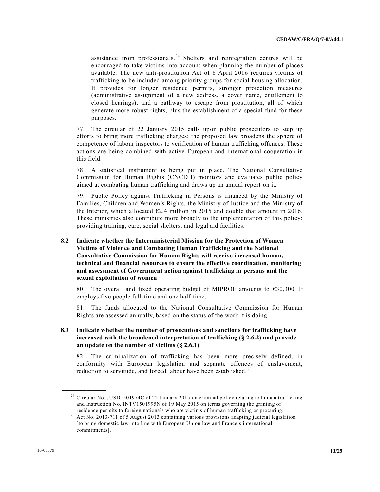assistance from professionals.<sup>24</sup> Shelters and reintegration centres will be encouraged to take victims into account when planning the number of places available. The new anti-prostitution Act of 6 April 2016 requires victims of trafficking to be included among priority groups for social housing allocation. It provides for longer residence permits, stronger protection measures (administrative assignment of a new address, a cover name, entitlement to closed hearings), and a pathway to escape from prostitution, all of which generate more robust rights, plus the establishment of a special fund for these purposes.

77. The circular of 22 January 2015 calls upon public prosecutors to step up efforts to bring more trafficking charges; the proposed law broadens the sphere of competence of labour inspectors to verification of human trafficking offences. These actions are being combined with active European and international cooperation in this field.

78. A statistical instrument is being put in place. The National Consultative Commission for Human Rights (CNCDH) monitors and evaluates public policy aimed at combating human trafficking and draws up an annual report on it.

79. Public Policy against Trafficking in Persons is financed by the Ministry of Families, Children and Women's Rights, the Ministry of Justice and the Ministry of the Interior, which allocated  $\epsilon$ 2.4 million in 2015 and double that amount in 2016. These ministries also contribute more broadly to the implementation of this policy: providing training, care, social shelters, and legal aid facilities.

#### **8.2 Indicate whether the Interministerial Mission for the Protection of Women Victims of Violence and Combating Human Trafficking and the National Consultative Commission for Human Rights will receive increased human, technical and financial resources to ensure the effective coordination, monitoring and assessment of Government action against trafficking in persons and the sexual exploitation of women**

80. The overall and fixed operating budget of MIPROF amounts to €30,300. It employs five people full-time and one half-time.

81. The funds allocated to the National Consultative Commission for Human Rights are assessed annually, based on the status of the work it is doing.

#### **8.3 Indicate whether the number of prosecutions and sanctions for trafficking have increased with the broadened interpretation of trafficking (§ 2.6.2) and provide an update on the number of victims (§ 2.6.1)**

82. The criminalization of trafficking has been more precisely defined, in conformity with European legislation and separate offences of enslavement, reduction to servitude, and forced labour have been established.<sup>25</sup>

<sup>&</sup>lt;sup>24</sup> Circular No. JUSD1501974C of 22 January 2015 on criminal policy relating to human trafficking and Instruction No. INTV1501995N of 19 May 2015 on terms governing the granting of residence permits to foreign nationals who are victims of human trafficking or procuring.

<sup>&</sup>lt;sup>25</sup> Act No. 2013-711 of 5 August 2013 containing various provisions adapting judicial legislation [to bring domestic law into line with European Union law and France's international commitments].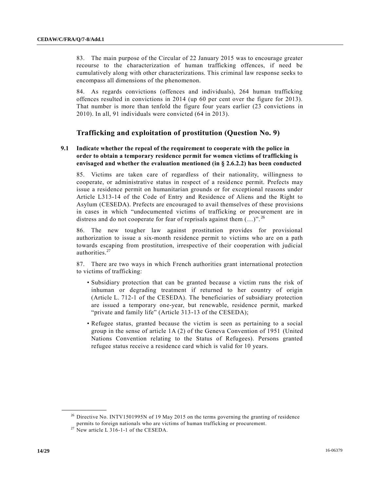83. The main purpose of the Circular of 22 January 2015 was to encourage greater recourse to the characterization of human trafficking offences, if need be cumulatively along with other characterizations. This criminal law response seeks to encompass all dimensions of the phenomenon.

84. As regards convictions (offences and individuals), 264 human trafficking offences resulted in convictions in 2014 (up 60 per cent over the figure for 2013). That number is more than tenfold the figure four years earlier (23 convictions in 2010). In all, 91 individuals were convicted (64 in 2013).

## **Trafficking and exploitation of prostitution (Question No. 9)**

#### **9.1 Indicate whether the repeal of the requirement to cooperate with the police in order to obtain a temporary residence permit for women victims of trafficking is envisaged and whether the evaluation mentioned (in § 2.6.2.2) has been conducted**

85. Victims are taken care of regardless of their nationality, willingness to cooperate, or administrative status in respect of a residence permit. Prefects may issue a residence permit on humanitarian grounds or for exceptional reasons under Article L313-14 of the Code of Entry and Residence of Aliens and the Right to Asylum (CESEDA). Prefects are encouraged to avail themselves of these provisions in cases in which "undocumented victims of trafficking or procurement are in distress and do not cooperate for fear of reprisals against them  $(...)^{n}$ . <sup>26</sup>

86. The new tougher law against prostitution provides for provisional authorization to issue a six-month residence permit to victims who are on a path towards escaping from prostitution, irrespective of their cooperation with judicial authorities.<sup>27</sup>

87. There are two ways in which French authorities grant international protection to victims of trafficking:

- Subsidiary protection that can be granted because a victim runs the risk of inhuman or degrading treatment if returned to her country of origin (Article L. 712-1 of the CESEDA). The beneficiaries of subsidiary protection are issued a temporary one-year, but renewable, residence permit, marked "private and family life" (Article 313-13 of the CESEDA);
- Refugee status, granted because the victim is seen as pertaining to a social group in the sense of article 1A (2) of the Geneva Convention of 1951 (United Nations Convention relating to the Status of Refugees). Persons granted refugee status receive a residence card which is valid for 10 years.

<sup>&</sup>lt;sup>26</sup> Directive No. INTV1501995N of 19 May 2015 on the terms governing the granting of residence permits to foreign nationals who are victims of human trafficking or procurement.

 $27$  New article L 316-1-1 of the CESEDA.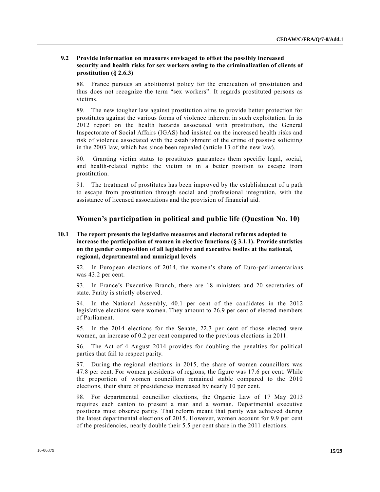#### **9.2 Provide information on measures envisaged to offset the possibly increased security and health risks for sex workers owing to the criminalization of clients of prostitution (§ 2.6.3)**

88. France pursues an abolitionist policy for the eradication of prostitution and thus does not recognize the term "sex workers". It regards prostituted persons as victims.

89. The new tougher law against prostitution aims to provide better protection for prostitutes against the various forms of violence inherent in such exploitation. In its 2012 report on the health hazards associated with prostitution, the General Inspectorate of Social Affairs (IGAS) had insisted on the increased health risks and risk of violence associated with the establishment of the crime of passive soliciting in the 2003 law, which has since been repealed (article 13 of the new law).

90. Granting victim status to prostitutes guarantees them specific legal, social, and health-related rights: the victim is in a better position to escape from prostitution.

91. The treatment of prostitutes has been improved by the establishment of a path to escape from prostitution through social and professional integration, with the assistance of licensed associations and the provision of financial aid.

## **Women's participation in political and public life (Question No. 10)**

#### **10.1 The report presents the legislative measures and electoral reforms adopted to increase the participation of women in elective functions (§ 3.1.1). Provide statistics on the gender composition of all legislative and executive bodies at the national, regional, departmental and municipal levels**

92. In European elections of 2014, the women's share of Euro-parliamentarians was 43.2 per cent.

93. In France's Executive Branch, there are 18 ministers and 20 secretaries of state. Parity is strictly observed.

94. In the National Assembly, 40.1 per cent of the candidates in the 2012 legislative elections were women. They amount to 26.9 per cent of elected members of Parliament.

95. In the 2014 elections for the Senate, 22.3 per cent of those elected were women, an increase of 0.2 per cent compared to the previous elections in 2011.

96. The Act of 4 August 2014 provides for doubling the penalties for political parties that fail to respect parity.

97. During the regional elections in 2015, the share of women councillors was 47.8 per cent. For women presidents of regions, the figure was 17.6 per cent. While the proportion of women councillors remained stable compared to the 2010 elections, their share of presidencies increased by nearly 10 per cent.

98. For departmental councillor elections, the Organic Law of 17 May 2013 requires each canton to present a man and a woman. Departmental executive positions must observe parity. That reform meant that parity was achieved during the latest departmental elections of 2015. However, women account for 9.9 per cent of the presidencies, nearly double their 5.5 per cent share in the 2011 elections.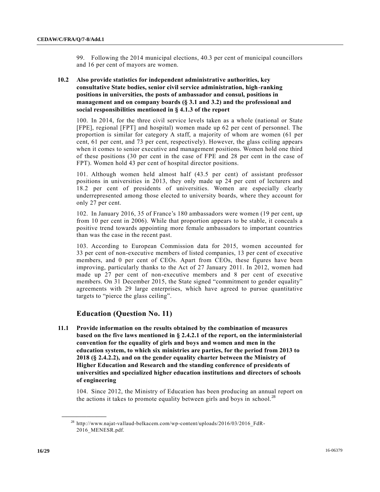99. Following the 2014 municipal elections, 40.3 per cent of municipal councillors and 16 per cent of mayors are women.

#### **10.2 Also provide statistics for independent administrative authorities, key consultative State bodies, senior civil service administration, high-ranking positions in universities, the posts of ambassador and consul, positions in management and on company boards (§ 3.1 and 3.2) and the professional and social responsibilities mentioned in § 4.1.3 of the report**

100. In 2014, for the three civil service levels taken as a whole (national or State [FPE], regional [FPT] and hospital) women made up 62 per cent of personnel. The proportion is similar for category A staff, a majority of whom are women (61 per cent, 61 per cent, and 73 per cent, respectively). However, the glass ceiling appears when it comes to senior executive and management positions. Women hold one third of these positions (30 per cent in the case of FPE and 28 per cent in the case of FPT). Women hold 43 per cent of hospital director positions.

101. Although women held almost half (43.5 per cent) of assistant professor positions in universities in 2013, they only made up 24 per cent of lecturers and 18.2 per cent of presidents of universities. Women are especially clearly underrepresented among those elected to university boards, where they account for only 27 per cent.

102. In January 2016, 35 of France's 180 ambassadors were women (19 per cent, up from 10 per cent in 2006). While that proportion appears to be stable, it conceals a positive trend towards appointing more female ambassadors to important countries than was the case in the recent past.

103. According to European Commission data for 2015, women accounted for 33 per cent of non-executive members of listed companies, 13 per cent of executive members, and 0 per cent of CEOs. Apart from CEOs, these figures have been improving, particularly thanks to the Act of 27 January 2011. In 2012, women had made up 27 per cent of non-executive members and 8 per cent of executive members. On 31 December 2015, the State signed "commitment to gender equality" agreements with 29 large enterprises, which have agreed to pursue quantitative targets to "pierce the glass ceiling".

## **Education (Question No. 11)**

**11.1 Provide information on the results obtained by the combination of measures based on the five laws mentioned in § 2.4.2.1 of the report, on the interministerial convention for the equality of girls and boys and women and men in the education system, to which six ministries are parties, for the period from 2013 to 2018 (§ 2.4.2.2), and on the gender equality charter between the Ministry of Higher Education and Research and the standing conference of presidents of universities and specialized higher education institutions and directors of schools of engineering**

104. Since 2012, the Ministry of Education has been producing an annual report on the actions it takes to promote equality between girls and boys in school.<sup>28</sup>

<sup>&</sup>lt;sup>28</sup> http://www.najat-vallaud-belkacem.com/wp-content/uploads/2016/03/2016\_FdR-2016\_MENESR.pdf.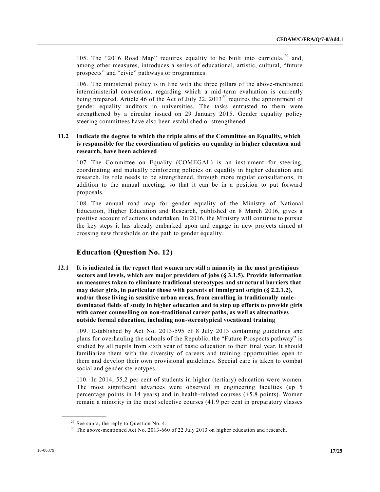105. The "2016 Road Map" requires equality to be built into curricula,  $2^9$  and, among other measures, introduces a series of educational, artistic, cultural, "future prospects" and "civic" pathways or programmes.

106. The ministerial policy is in line with the three pillars of the above-mentioned interministerial convention, regarding which a mid-term evaluation is currently being prepared. Article 46 of the Act of July 22, 2013<sup>30</sup> requires the appointment of gender equality auditors in universities. The tasks entrusted to them were strengthened by a circular issued on 29 January 2015. Gender equality policy steering committees have also been established or strengthened.

#### **11.2 Indicate the degree to which the triple aims of the Committee on Equality, which is responsible for the coordination of policies on equality in higher education and research, have been achieved**

107. The Committee on Equality (COMEGAL) is an instrument for steering, coordinating and mutually reinforcing policies on equality in higher education and research. Its role needs to be strengthened, through more regular consultations, in addition to the annual meeting, so that it can be in a position to put forward proposals.

108. The annual road map for gender equality of the Ministry of National Education, Higher Education and Research, published on 8 March 2016, gives a positive account of actions undertaken. In 2016, the Ministry will continue to pursue the key steps it has already embarked upon and engage in new projects aimed at crossing new thresholds on the path to gender equality.

## **Education (Question No. 12)**

**12.1 It is indicated in the report that women are still a minority in the most prestigious sectors and levels, which are major providers of jobs (§ 3.1.5). Provide information on measures taken to eliminate traditional stereotypes and structural barriers that may deter girls, in particular those with parents of immigrant origin (§ 2.2.1.2), and/or those living in sensitive urban areas, from enrolling in traditionally maledominated fields of study in higher education and to step up efforts to provide girls with career counselling on non-traditional career paths, as well as alternatives outside formal education, including non-stereotypical vocational training**

109. Established by Act No. 2013-595 of 8 July 2013 containing guidelines and plans for overhauling the schools of the Republic, the "Future Prospects pathway" is studied by all pupils from sixth year of basic education to their final year. It should familiarize them with the diversity of careers and training opportunities open to them and develop their own provisional guidelines. Special care is taken to combat social and gender stereotypes.

110. In 2014, 55.2 per cent of students in higher (tertiary) education were women. The most significant advances were observed in engineering faculties (up 5 percentage points in 14 years) and in health-related courses (+5.8 points). Women remain a minority in the most selective courses (41.9 per cent in preparatory classes

 $29$  See supra, the reply to Question No. 4.

<sup>&</sup>lt;sup>30</sup> The above-mentioned Act No. 2013-660 of 22 July 2013 on higher education and research.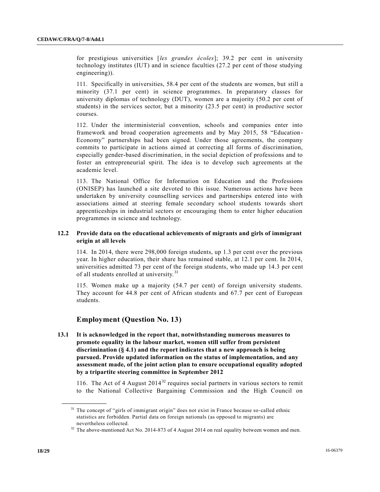for prestigious universities [*les grandes écoles*]; 39.2 per cent in university technology institutes (IUT) and in science faculties (27.2 per cent of those studying engineering)).

111. Specifically in universities, 58.4 per cent of the students are women, but still a minority (37.1 per cent) in science programmes. In preparatory classes for university diplomas of technology (DUT), women are a majority (50.2 per cent of students) in the services sector, but a minority (23.5 per cent) in productive sector courses.

112. Under the interministerial convention, schools and companies enter into framework and broad cooperation agreements and by May 2015, 58 "Education - Economy" partnerships had been signed. Under those agreements, the company commits to participate in actions aimed at correcting all forms of discrimination, especially gender-based discrimination, in the social depiction of professions and to foster an entrepreneurial spirit. The idea is to develop such agreements at the academic level.

113. The National Office for Information on Education and the Professions (ONISEP) has launched a site devoted to this issue. Numerous actions have been undertaken by university counselling services and partnerships entered into with associations aimed at steering female secondary school students towards short apprenticeships in industrial sectors or encouraging them to enter higher education programmes in science and technology.

#### **12.2 Provide data on the educational achievements of migrants and girls of immigrant origin at all levels**

114. In 2014, there were 298,000 foreign students, up 1.3 per cent over the previous year. In higher education, their share has remained stable, at 12.1 per cent. In 2014, universities admitted 73 per cent of the foreign students, who made up 14.3 per cent of all students enrolled at university.<sup>31</sup>

115. Women make up a majority (54.7 per cent) of foreign university students. They account for 44.8 per cent of African students and 67.7 per cent of European students.

## **Employment (Question No. 13)**

**13.1 It is acknowledged in the report that, notwithstanding numerous measures to promote equality in the labour market, women still suffer from persistent discrimination (§ 4.1) and the report indicates that a new approach is being pursued. Provide updated information on the status of implementation, and any assessment made, of the joint action plan to ensure occupational equality adopted by a tripartite steering committee in September 2012**

116. The Act of 4 August  $2014^{32}$  requires social partners in various sectors to remit to the National Collective Bargaining Commission and the High Council on

<sup>&</sup>lt;sup>31</sup> The concept of "girls of immigrant origin" does not exist in France because so-called ethnic statistics are forbidden. Partial data on foreign nationals (as opposed to migrants) are nevertheless collected.

<sup>&</sup>lt;sup>32</sup> The above-mentioned Act No. 2014-873 of 4 August 2014 on real equality between women and men.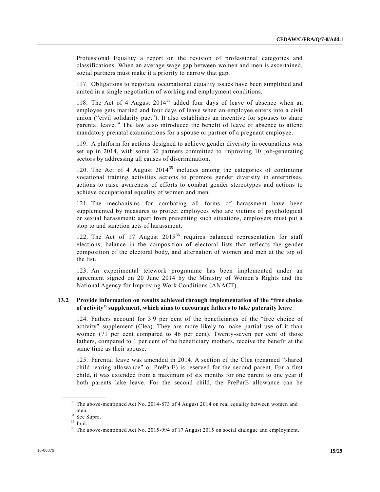Professional Equality a report on the revision of professional categories and classifications. When an average wage gap between women and men is ascertained, social partners must make it a priority to narrow that gap.

117. Obligations to negotiate occupational equality issues have been simplified and united in a single negotiation of working and employment conditions.

118. The Act of 4 August 2014<sup>33</sup> added four days of leave of absence when an employee gets married and four days of leave when an employee enters into a civil union ("civil solidarity pact"). It also establishes an incentive for spouses to share parental leave. $34$  The law also introduced the benefit of leave of absence to attend mandatory prenatal examinations for a spouse or partner of a pregnant employee.

119. A platform for actions designed to achieve gender diversity in occupations was set up in 2014, with some 30 partners committed to improving 10 job-generating sectors by addressing all causes of discrimination.

120. The Act of 4 August  $2014^{35}$  includes among the categories of continuing vocational training activities actions to promote gender diversity in enterprises, actions to raise awareness of efforts to combat gender stereotypes and actions to achieve occupational equality of women and men.

121. The mechanisms for combating all forms of harassment have been supplemented by measures to protect employees who are victims of psychological or sexual harassment: apart from preventing such situations, employers must put a stop to and sanction acts of harassment.

122. The Act of 17 August  $2015^{36}$  requires balanced representation for staff elections, balance in the composition of electoral lists that reflects the gender composition of the electoral body, and alternation of women and men at the top of the list.

123. An experimental telework programme has been implemented under an agreement signed on 20 June 2014 by the Ministry of Women's Rights and the National Agency for Improving Work Conditions (ANACT).

#### **13.2 Provide information on results achieved through implementation of the "free choice of activity" supplement, which aims to encourage fathers to take paternity leave**

124. Fathers account for 3.9 per cent of the beneficiaries of the "free choice of activity" supplement (Clea). They are more likely to make partial use of it than women (71 per cent compared to 46 per cent). Twenty-seven per cent of those fathers, compared to 1 per cent of the beneficiary mothers, receive the benefit at the same time as their spouse.

125. Parental leave was amended in 2014. A section of the Clea (renamed "shared child rearing allowance" or PreParE) is reserved for the second parent. For a first child, it was extended from a maximum of six months for one parent to one year if both parents lake leave. For the second child, the PreParE allowance can be

<sup>&</sup>lt;sup>33</sup> The above-mentioned Act No. 2014-873 of 4 August 2014 on real equality between women and men.

<sup>34</sup> See Supra.

 $35$  Ibid.

<sup>&</sup>lt;sup>36</sup> The above-mentioned Act No. 2015-994 of 17 August 2015 on social dialogue and employment.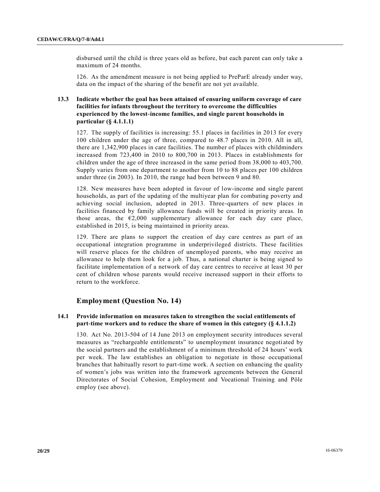disbursed until the child is three years old as before, but each parent can only take a maximum of 24 months.

126. As the amendment measure is not being applied to PreParE already under way, data on the impact of the sharing of the benefit are not yet available.

#### **13.3 Indicate whether the goal has been attained of ensuring uniform coverage of care facilities for infants throughout the territory to overcome the difficulties experienced by the lowest-income families, and single parent households in particular (§ 4.1.1.1)**

127. The supply of facilities is increasing: 55.1 places in facilities in 2013 for every 100 children under the age of three, compared to 48.7 places in 2010. All in all, there are 1,342,900 places in care facilities. The number of places with childminders increased from 723,400 in 2010 to 800,700 in 2013. Places in establishments for children under the age of three increased in the same period from 38,000 to 403,700. Supply varies from one department to another from 10 to 88 places per 100 children under three (in 2003). In 2010, the range had been between 9 and 80.

128. New measures have been adopted in favour of low-income and single parent households, as part of the updating of the multiyear plan for combating poverty and achieving social inclusion, adopted in 2013. Three-quarters of new places in facilities financed by family allowance funds will be created in priority areas. In those areas, the  $\epsilon$ 2,000 supplementary allowance for each day care place, established in 2015, is being maintained in priority areas.

129. There are plans to support the creation of day care centres as part of an occupational integration programme in underprivileged districts. These facilities will reserve places for the children of unemployed parents, who may receive an allowance to help them look for a job. Thus, a national charter is being signed to facilitate implementation of a network of day care centres to receive at least 30 per cent of children whose parents would receive increased support in their efforts to return to the workforce.

## **Employment (Question No. 14)**

#### **14.1 Provide information on measures taken to strengthen the social entitlements of part-time workers and to reduce the share of women in this category (§ 4.1.1.2)**

130. Act No. 2013-504 of 14 June 2013 on employment security introduces several measures as "rechargeable entitlements" to unemployment insurance negoti ated by the social partners and the establishment of a minimum threshold of 24 hours' work per week. The law establishes an obligation to negotiate in those occupational branches that habitually resort to part-time work. A section on enhancing the quality of women's jobs was written into the framework agreements between the General Directorates of Social Cohesion, Employment and Vocational Training and Pôle employ (see above).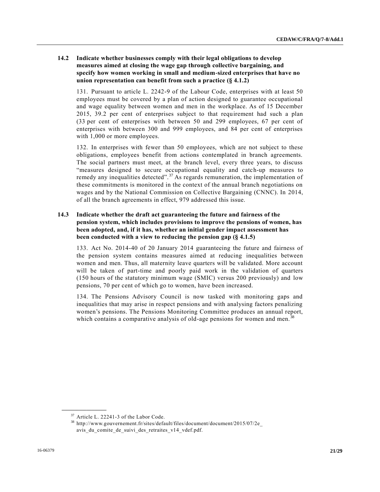#### **14.2 Indicate whether businesses comply with their legal obligations to develop measures aimed at closing the wage gap through collective bargaining, and specify how women working in small and medium-sized enterprises that have no union representation can benefit from such a practice (§ 4.1.2)**

131. Pursuant to article L. 2242-9 of the Labour Code, enterprises with at least 50 employees must be covered by a plan of action designed to guarantee occupational and wage equality between women and men in the workplace. As of 15 December 2015, 39.2 per cent of enterprises subject to that requirement had such a plan (33 per cent of enterprises with between 50 and 299 employees, 67 per cent of enterprises with between 300 and 999 employees, and 84 per cent of enterprises with 1,000 or more employees.

132. In enterprises with fewer than 50 employees, which are not subject to these obligations, employees benefit from actions contemplated in branch agreements. The social partners must meet, at the branch level, every three years, to discuss "measures designed to secure occupational equality and catch-up measures to remedy any inequalities detected".<sup>37</sup> As regards remuneration, the implementation of these commitments is monitored in the context of the annual branch negotiations on wages and by the National Commission on Collective Bargaining (CNNC). In 2014, of all the branch agreements in effect, 979 addressed this issue.

#### **14.3 Indicate whether the draft act guaranteeing the future and fairness of the pension system, which includes provisions to improve the pensions of women, has been adopted, and, if it has, whether an initial gender impact assessment has been conducted with a view to reducing the pension gap (§ 4.1.5)**

133. Act No. 2014-40 of 20 January 2014 guaranteeing the future and fairness of the pension system contains measures aimed at reducing inequalities between women and men. Thus, all maternity leave quarters will be validated. More account will be taken of part-time and poorly paid work in the validation of quarters (150 hours of the statutory minimum wage (SMIC) versus 200 previously) and low pensions, 70 per cent of which go to women, have been increased.

134. The Pensions Advisory Council is now tasked with monitoring gaps and inequalities that may arise in respect pensions and with analysing factors penalizing women's pensions. The Pensions Monitoring Committee produces an annual report, which contains a comparative analysis of old-age pensions for women and men.<sup>38</sup>

<sup>&</sup>lt;sup>37</sup> Article L. 22241-3 of the Labor Code.

<sup>38</sup> http://www.gouvernement.fr/sites/default/files/document/document/2015/07/2e\_ avis du comite de suivi des retraites v14 vdef.pdf.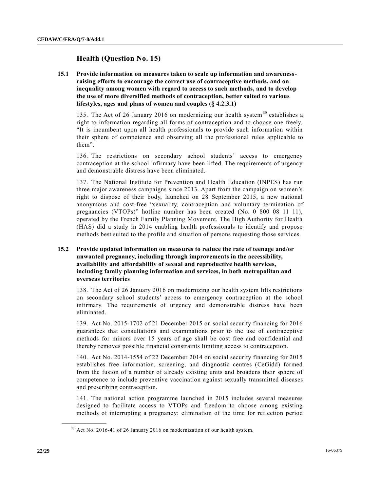## **Health (Question No. 15)**

**15.1 Provide information on measures taken to scale up information and awarenessraising efforts to encourage the correct use of contraceptive methods, and on inequality among women with regard to access to such methods, and to develop the use of more diversified methods of contraception, better suited to various lifestyles, ages and plans of women and couples (§ 4.2.3.1)**

135. The Act of 26 January 2016 on modernizing our health system<sup>39</sup> establishes a right to information regarding all forms of contraception and to choose one freely. "It is incumbent upon all health professionals to provide such information within their sphere of competence and observing all the professional rules applicable to them".

136. The restrictions on secondary school students' access to emergency contraception at the school infirmary have been lifted. The requirements of urgency and demonstrable distress have been eliminated.

137. The National Institute for Prevention and Health Education (INPES) has run three major awareness campaigns since 2013. Apart from the campaign on women's right to dispose of their body, launched on 28 September 2015, a new national anonymous and cost-free "sexuality, contraception and voluntary termination of pregnancies (VTOPs)" hotline number has been created (No. 0 800 08 11 11), operated by the French Family Planning Movement. The High Authority for Health (HAS) did a study in 2014 enabling health professionals to identify and propose methods best suited to the profile and situation of persons requesting those services.

#### **15.2 Provide updated information on measures to reduce the rate of teenage and/or unwanted pregnancy, including through improvements in the accessibility, availability and affordability of sexual and reproductive health services, including family planning information and services, in both metropolitan and overseas territories**

138. The Act of 26 January 2016 on modernizing our health system lifts restrictions on secondary school students' access to emergency contraception at the school infirmary. The requirements of urgency and demonstrable distress have been eliminated.

139. Act No. 2015-1702 of 21 December 2015 on social security financing for 2016 guarantees that consultations and examinations prior to the use of contraceptive methods for minors over 15 years of age shall be cost free and confidential and thereby removes possible financial constraints limiting access to contraception.

140. Act No. 2014-1554 of 22 December 2014 on social security financing for 2015 establishes free information, screening, and diagnostic centres (CeGidd) formed from the fusion of a number of already existing units and broadens their sphere of competence to include preventive vaccination against sexually transmitted diseases and prescribing contraception.

141. The national action programme launched in 2015 includes several measures designed to facilitate access to VTOPs and freedom to choose among existing methods of interrupting a pregnancy: elimination of the time for reflection period

<sup>&</sup>lt;sup>39</sup> Act No. 2016-41 of 26 January 2016 on modernization of our health system.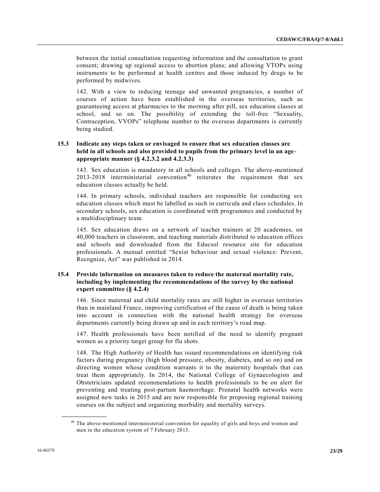between the initial consultation requesting information and the consultation to grant consent; drawing up regional access to abortion plans; and allowing VTOPs using instruments to be performed at health centres and those induced by drugs to be performed by midwives.

142. With a view to reducing teenage and unwanted pregnancies, a number of courses of action have been established in the overseas territories, such as guaranteeing access at pharmacies to the morning after pill, sex education classes at school, and so on. The possibility of extending the toll-free "Sexuality, Contraception, VYOPs" telephone number to the overseas departments is currently being studied.

#### **15.3 Indicate any steps taken or envisaged to ensure that sex education classes are held in all schools and also provided to pupils from the primary level in an ageappropriate manner (§ 4.2.3.2 and 4.2.3.3)**

143. Sex education is mandatory in all schools and colleges. The above -mentioned  $2013-2018$  interministerial convention<sup>40</sup> reiterates the requirement that sex education classes actually be held.

144. In primary schools, individual teachers are responsible for conducting sex education classes which must be labelled as such in curricula and class s chedules. In secondary schools, sex education is coordinated with programmes and conducted by a multidisciplinary team.

145. Sex education draws on a network of teacher trainers at 20 academies, on 40,000 teachers in classroom, and teaching materials distributed to education offices and schools and downloaded from the Educsol resource site for education professionals. A manual entitled "Sexist behaviour and sexual violence: Prevent, Recognize, Act" was published in 2014.

#### **15.4 Provide information on measures taken to reduce the maternal mortality rate, including by implementing the recommendations of the survey by the national expert committee (§ 4.2.4)**

146. Since maternal and child mortality rates are still higher in overseas territories than in mainland France, improving certification of the cause of death is being taken into account in connection with the national health strategy for overseas departments currently being drawn up and in each territory's road map.

147. Health professionals have been notified of the need to identify pregnant women as a priority target group for flu shots.

148. The High Authority of Health has issued recommendations on identifying risk factors during pregnancy (high blood pressure, obesity, diabetes, and so on) and on directing women whose condition warrants it to the maternity hospitals that can treat them appropriately. In 2014, the National College of Gynaecologists and Obstetricians updated recommendations to health professionals to be on alert for preventing and treating post-partum haemorrhage. Prenatal health networks were assigned new tasks in 2015 and are now responsible for proposing regional training courses on the subject and organizing morbidity and mortality surveys.

<sup>&</sup>lt;sup>40</sup> The above-mentioned interministerial convention for equality of girls and boys and women and men in the education system of 7 February 2013.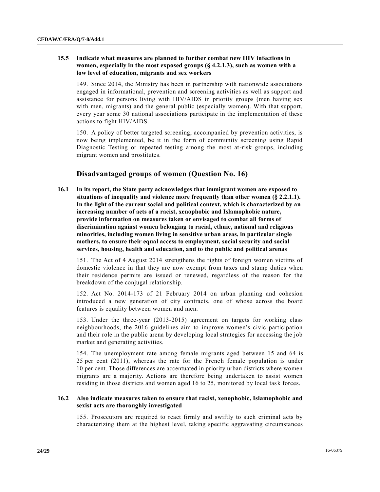#### **15.5 Indicate what measures are planned to further combat new HIV infections in women, especially in the most exposed groups (§ 4.2.1.3), such as women with a low level of education, migrants and sex workers**

149. Since 2014, the Ministry has been in partnership with nationwide associations engaged in informational, prevention and screening activities as well as support and assistance for persons living with HIV/AIDS in priority groups (men having sex with men, migrants) and the general public (especially women). With that support, every year some 30 national associations participate in the implementation of these actions to fight HIV/AIDS.

150. A policy of better targeted screening, accompanied by prevention activities, is now being implemented, be it in the form of community screening using Rapid Diagnostic Testing or repeated testing among the most at-risk groups, including migrant women and prostitutes.

## **Disadvantaged groups of women (Question No. 16)**

**16.1 In its report, the State party acknowledges that immigrant women are exposed to situations of inequality and violence more frequently than other women (§ 2.2.1.1). In the light of the current social and political context, which is characterized by an increasing number of acts of a racist, xenophobic and Islamophobic nature, provide information on measures taken or envisaged to combat all forms of discrimination against women belonging to racial, ethnic, national and religious minorities, including women living in sensitive urban areas, in particular single mothers, to ensure their equal access to employment, social security and social services, housing, health and education, and to the public and political arenas**

151. The Act of 4 August 2014 strengthens the rights of foreign women victims of domestic violence in that they are now exempt from taxes and stamp duties when their residence permits are issued or renewed, regardless of the reason for the breakdown of the conjugal relationship.

152. Act No. 2014-173 of 21 February 2014 on urban planning and cohesion introduced a new generation of city contracts, one of whose across the board features is equality between women and men.

153. Under the three-year (2013-2015) agreement on targets for working class neighbourhoods, the 2016 guidelines aim to improve women's civic participation and their role in the public arena by developing local strategies for accessing the job market and generating activities.

154. The unemployment rate among female migrants aged between 15 and 64 is 25 per cent (2011), whereas the rate for the French female population is under 10 per cent. Those differences are accentuated in priority urban districts where women migrants are a majority. Actions are therefore being undertaken to assist women residing in those districts and women aged 16 to 25, monitored by local task forces.

#### **16.2 Also indicate measures taken to ensure that racist, xenophobic, Islamophobic and sexist acts are thoroughly investigated**

155. Prosecutors are required to react firmly and swiftly to such criminal acts by characterizing them at the highest level, taking specific aggravating circumstances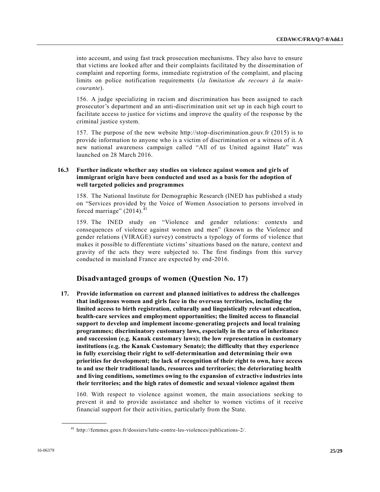into account, and using fast track prosecution mechanisms. They also have to ensure that victims are looked after and their complaints facilitated by the dissemination of complaint and reporting forms, immediate registration of the complaint, and placing limits on police notification requirements (*la limitation du recours à la maincourante*).

156. A judge specializing in racism and discrimination has been assigned to each prosecutor's department and an anti-discrimination unit set up in each high court to facilitate access to justice for victims and improve the quality of the response by the criminal justice system.

157. The purpose of the new website http://stop-discrimination.gouv.fr (2015) is to provide information to anyone who is a victim of discrimination or a witness of it. A new national awareness campaign called "All of us United against Hate" was launched on 28 March 2016.

#### **16.3 Further indicate whether any studies on violence against women and girls of immigrant origin have been conducted and used as a basis for the adoption of well targeted policies and programmes**

158. The National Institute for Demographic Research (INED has published a study on "Services provided by the Voice of Women Association to persons involved in forced marriage"  $(2014).$ <sup>41</sup>

159. The INED study on "Violence and gender relations: contexts and consequences of violence against women and men" (known as the Violence and gender relations (VIRAGE) survey) constructs a typology of forms of violence that makes it possible to differentiate victims' situations based on the nature, context and gravity of the acts they were subjected to. The first findings from this survey conducted in mainland France are expected by end-2016.

## **Disadvantaged groups of women (Question No. 17)**

**17. Provide information on current and planned initiatives to address the challenges that indigenous women and girls face in the overseas territories, including the limited access to birth registration, culturally and linguistically relevant education, health-care services and employment opportunities; the limited access to financial support to develop and implement income-generating projects and local training programmes; discriminatory customary laws, especially in the area of inheritance and succession (e.g. Kanak customary laws); the low representation in customary institutions (e.g. the Kanak Customary Senate); the difficulty that they experience in fully exercising their right to self-determination and determining their own priorities for development; the lack of recognition of their right to own, have access to and use their traditional lands, resources and territories; the deteriorating health and living conditions, sometimes owing to the expansion of extractive industries into their territories; and the high rates of domestic and sexual violence against them**

160. With respect to violence against women, the main associations seeking to prevent it and to provide assistance and shelter to women victims of it receive financial support for their activities, particularly from the State.

<sup>41</sup> http://femmes.gouv.fr/dossiers/lutte-contre-les-violences/publications-2/.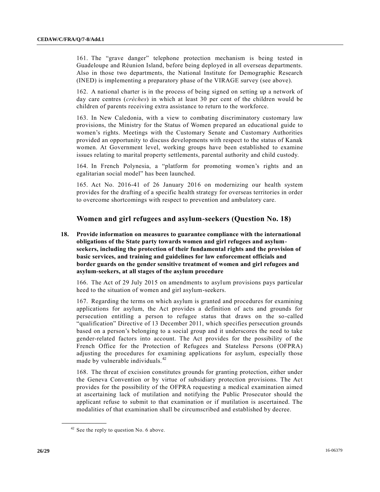161. The "grave danger" telephone protection mechanism is being tested in Guadeloupe and Réunion Island, before being deployed in all overseas departments. Also in those two departments, the National Institute for Demographic Research (INED) is implementing a preparatory phase of the VIRAGE survey (see above).

162. A national charter is in the process of being signed on setting up a network of day care centres (*crèches*) in which at least 30 per cent of the children would be children of parents receiving extra assistance to return to the workforce.

163. In New Caledonia, with a view to combating discriminatory customary law provisions, the Ministry for the Status of Women prepared an educational guide to women's rights. Meetings with the Customary Senate and Customary Authorities provided an opportunity to discuss developments with respect to the status of Kanak women. At Government level, working groups have been established to examine issues relating to marital property settlements, parental authority and child custody.

164. In French Polynesia, a "platform for promoting women's rights and an egalitarian social model" has been launched.

165. Act No. 2016-41 of 26 January 2016 on modernizing our health system provides for the drafting of a specific health strategy for overseas territories in order to overcome shortcomings with respect to prevention and ambulatory care.

### **Women and girl refugees and asylum-seekers (Question No. 18)**

**18. Provide information on measures to guarantee compliance with the international obligations of the State party towards women and girl refugees and asylumseekers, including the protection of their fundamental rights and the provision of basic services, and training and guidelines for law enforcement officials and border guards on the gender sensitive treatment of women and girl refugees and asylum-seekers, at all stages of the asylum procedure**

166. The Act of 29 July 2015 on amendments to asylum provisions pays particular heed to the situation of women and girl asylum-seekers.

167. Regarding the terms on which asylum is granted and procedures for examining applications for asylum, the Act provides a definition of acts and grounds for persecution entitling a person to refugee status that draws on the so-called "qualification" Directive of 13 December 2011, which specifies persecution grounds based on a person's belonging to a social group and it underscores the need to take gender-related factors into account. The Act provides for the possibility of the French Office for the Protection of Refugees and Stateless Persons (OFPRA) adjusting the procedures for examining applications for asylum, especially those made by vulnerable individuals.<sup>42</sup>

168. The threat of excision constitutes grounds for granting protection, either under the Geneva Convention or by virtue of subsidiary protection provisions. The Act provides for the possibility of the OFPRA requesting a medical examination aimed at ascertaining lack of mutilation and notifying the Public Prosecutor should the applicant refuse to submit to that examination or if mutilation is ascertained. The modalities of that examination shall be circumscribed and established by decree.

 $42$  See the reply to question No. 6 above.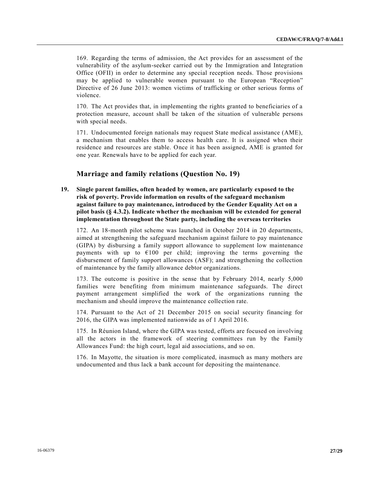169. Regarding the terms of admission, the Act provides for an assessment of the vulnerability of the asylum-seeker carried out by the Immigration and Integration Office (OFII) in order to determine any special reception needs. Those provisions may be applied to vulnerable women pursuant to the European "Reception" Directive of 26 June 2013: women victims of trafficking or other serious forms of violence.

170. The Act provides that, in implementing the rights granted to beneficiaries of a protection measure, account shall be taken of the situation of vulnerable persons with special needs.

171. Undocumented foreign nationals may request State medical assistance (AME), a mechanism that enables them to access health care. It is assigned when their residence and resources are stable. Once it has been assigned, AME is granted for one year. Renewals have to be applied for each year.

## **Marriage and family relations (Question No. 19)**

**19. Single parent families, often headed by women, are particularly exposed to the risk of poverty. Provide information on results of the safeguard mechanism against failure to pay maintenance, introduced by the Gender Equality Act on a pilot basis (§ 4.3.2). Indicate whether the mechanism will be extended for general implementation throughout the State party, including the overseas territories**

172. An 18-month pilot scheme was launched in October 2014 in 20 departments, aimed at strengthening the safeguard mechanism against failure to pay maintenance (GIPA) by disbursing a family support allowance to supplement low maintenance payments with up to  $E100$  per child; improving the terms governing the disbursement of family support allowances (ASF); and strengthening the collection of maintenance by the family allowance debtor organizations.

173. The outcome is positive in the sense that by February 2014, nearly 5,000 families were benefiting from minimum maintenance safeguards. The direct payment arrangement simplified the work of the organizations running the mechanism and should improve the maintenance collection rate.

174. Pursuant to the Act of 21 December 2015 on social security financing for 2016, the GIPA was implemented nationwide as of 1 April 2016.

175. In Réunion Island, where the GIPA was tested, efforts are focused on involving all the actors in the framework of steering committees run by the Family Allowances Fund: the high court, legal aid associations, and so on.

176. In Mayotte, the situation is more complicated, inasmuch as many mothers are undocumented and thus lack a bank account for depositing the maintenance.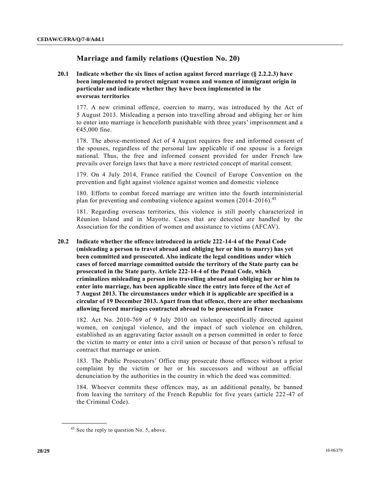## **Marriage and family relations (Question No. 20)**

#### **20.1 Indicate whether the six lines of action against forced marriage (§ 2.2.2.3) have been implemented to protect migrant women and women of immigrant origin in particular and indicate whether they have been implemented in the overseas territories**

177. A new criminal offence, coercion to marry, was introduced by the Act of 5 August 2013. Misleading a person into travelling abroad and obliging her or him to enter into marriage is henceforth punishable with three years' imprisonment and a €45,000 fine.

178. The above-mentioned Act of 4 August requires free and informed consent of the spouses, regardless of the personal law applicable if one spouse is a foreign national. Thus, the free and informed consent provided for under French law prevails over foreign laws that have a more restricted concept of marital consent.

179. On 4 July 2014, France ratified the Council of Europe Convention on the prevention and fight against violence against women and domestic violence

180. Efforts to combat forced marriage are written into the fourth interministerial plan for preventing and combating violence against women (2014-2016).<sup>43</sup>

181. Regarding overseas territories, this violence is still poorly characterized in Réunion Island and in Mayotte. Cases that are detected are handled by the Association for the condition of women and assistance to victims (AFCAV).

#### **20.2 Indicate whether the offence introduced in article 222-14-4 of the Penal Code (misleading a person to travel abroad and obliging her or him to marry) has yet been committed and prosecuted. Also indicate the legal conditions under which cases of forced marriage committed outside the territory of the State party can be prosecuted in the State party. Article 222-14-4 of the Penal Code, which criminalizes misleading a person into travelling abroad and obliging her or him to enter into marriage, has been applicable since the entry into force of the Act of 7 August 2013. The circumstances under which it is applicable are specified in a circular of 19 December 2013. Apart from that offence, there are other mechanisms allowing forced marriages contracted abroad to be prosecuted in France**

182. Act No. 2010-769 of 9 July 2010 on violence specifically directed against women, on conjugal violence, and the impact of such violence on children, established as an aggravating factor assault on a person committed in order to force the victim to marry or enter into a civil union or because of that perso n's refusal to contract that marriage or union.

183. The Public Prosecutors' Office may prosecute those offences without a prior complaint by the victim or her or his successors and without an official denunciation by the authorities in the country in which the deed was committed.

184. Whoever commits these offences may, as an additional penalty, be banned from leaving the territory of the French Republic for five years (article 222 -47 of the Criminal Code).

 $43$  See the reply to question No. 5, above.